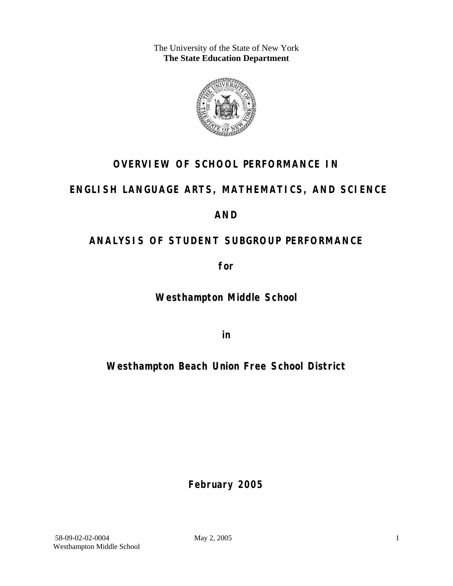The University of the State of New York **The State Education Department** 



## **OVERVIEW OF SCHOOL PERFORMANCE IN**

## **ENGLISH LANGUAGE ARTS, MATHEMATICS, AND SCIENCE**

## **AND**

## **ANALYSIS OF STUDENT SUBGROUP PERFORMANCE**

**for** 

**Westhampton Middle School**

**in** 

## **Westhampton Beach Union Free School District**

**February 2005**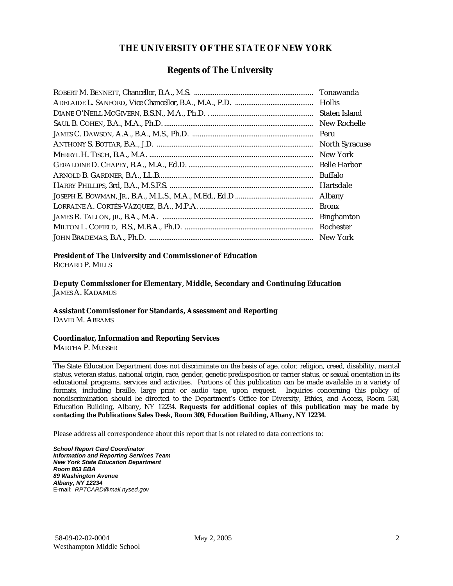#### **THE UNIVERSITY OF THE STATE OF NEW YORK**

#### **Regents of The University**

| Tonawanda             |
|-----------------------|
|                       |
| Staten Island         |
| New Rochelle          |
| Peru                  |
| <b>North Syracuse</b> |
| New York              |
| <b>Belle Harbor</b>   |
| <b>Buffalo</b>        |
| Hartsdale             |
| <b>Albany</b>         |
| <b>Bronx</b>          |
| <b>Binghamton</b>     |
| Rochester             |
| New York              |

## **President of The University and Commissioner of Education**

RICHARD P. MILLS

**Deputy Commissioner for Elementary, Middle, Secondary and Continuing Education**  JAMES A. KADAMUS

#### **Assistant Commissioner for Standards, Assessment and Reporting**  DAVID M. ABRAMS

**Coordinator, Information and Reporting Services** 

MARTHA P. MUSSER

The State Education Department does not discriminate on the basis of age, color, religion, creed, disability, marital status, veteran status, national origin, race, gender, genetic predisposition or carrier status, or sexual orientation in its educational programs, services and activities. Portions of this publication can be made available in a variety of formats, including braille, large print or audio tape, upon request. Inquiries concerning this policy of nondiscrimination should be directed to the Department's Office for Diversity, Ethics, and Access, Room 530, Education Building, Albany, NY 12234. **Requests for additional copies of this publication may be made by contacting the Publications Sales Desk, Room 309, Education Building, Albany, NY 12234.** 

Please address all correspondence about this report that is not related to data corrections to:

*School Report Card Coordinator Information and Reporting Services Team New York State Education Department Room 863 EBA 89 Washington Avenue Albany, NY 12234*  E-mail: *RPTCARD@mail.nysed.gov*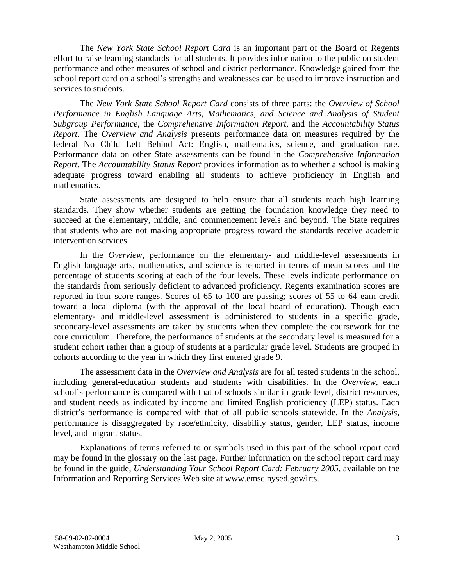The *New York State School Report Card* is an important part of the Board of Regents effort to raise learning standards for all students. It provides information to the public on student performance and other measures of school and district performance. Knowledge gained from the school report card on a school's strengths and weaknesses can be used to improve instruction and services to students.

The *New York State School Report Card* consists of three parts: the *Overview of School Performance in English Language Arts, Mathematics, and Science and Analysis of Student Subgroup Performance,* the *Comprehensive Information Report,* and the *Accountability Status Report*. The *Overview and Analysis* presents performance data on measures required by the federal No Child Left Behind Act: English, mathematics, science, and graduation rate. Performance data on other State assessments can be found in the *Comprehensive Information Report*. The *Accountability Status Report* provides information as to whether a school is making adequate progress toward enabling all students to achieve proficiency in English and mathematics.

State assessments are designed to help ensure that all students reach high learning standards. They show whether students are getting the foundation knowledge they need to succeed at the elementary, middle, and commencement levels and beyond. The State requires that students who are not making appropriate progress toward the standards receive academic intervention services.

In the *Overview*, performance on the elementary- and middle-level assessments in English language arts, mathematics, and science is reported in terms of mean scores and the percentage of students scoring at each of the four levels. These levels indicate performance on the standards from seriously deficient to advanced proficiency. Regents examination scores are reported in four score ranges. Scores of 65 to 100 are passing; scores of 55 to 64 earn credit toward a local diploma (with the approval of the local board of education). Though each elementary- and middle-level assessment is administered to students in a specific grade, secondary-level assessments are taken by students when they complete the coursework for the core curriculum. Therefore, the performance of students at the secondary level is measured for a student cohort rather than a group of students at a particular grade level. Students are grouped in cohorts according to the year in which they first entered grade 9.

The assessment data in the *Overview and Analysis* are for all tested students in the school, including general-education students and students with disabilities. In the *Overview*, each school's performance is compared with that of schools similar in grade level, district resources, and student needs as indicated by income and limited English proficiency (LEP) status. Each district's performance is compared with that of all public schools statewide. In the *Analysis*, performance is disaggregated by race/ethnicity, disability status, gender, LEP status, income level, and migrant status.

Explanations of terms referred to or symbols used in this part of the school report card may be found in the glossary on the last page. Further information on the school report card may be found in the guide, *Understanding Your School Report Card: February 2005*, available on the Information and Reporting Services Web site at www.emsc.nysed.gov/irts.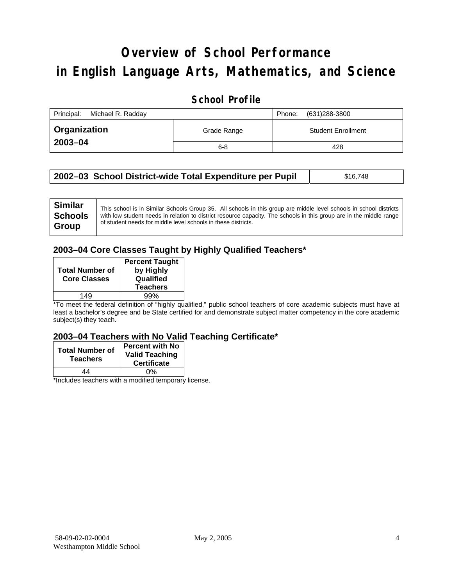# **Overview of School Performance in English Language Arts, Mathematics, and Science**

#### **School Profile**

| Principal:<br>Michael R. Radday |             | (631)288-3800<br>Phone:   |
|---------------------------------|-------------|---------------------------|
| <b>Organization</b>             | Grade Range | <b>Student Enrollment</b> |
| 2003-04                         | $6 - 8$     | 428                       |

| 2002–03 School District-wide Total Expenditure per Pupil | \$16,748 |
|----------------------------------------------------------|----------|
|----------------------------------------------------------|----------|

| <b>Similar</b><br><b>Schools</b> | This school is in Similar Schools Group 35. All schools in this group are middle level schools in school districts<br>with low student needs in relation to district resource capacity. The schools in this group are in the middle range |
|----------------------------------|-------------------------------------------------------------------------------------------------------------------------------------------------------------------------------------------------------------------------------------------|
| Group                            | of student needs for middle level schools in these districts.                                                                                                                                                                             |

#### **2003–04 Core Classes Taught by Highly Qualified Teachers\***

| <b>Total Number of</b><br><b>Core Classes</b> | <b>Percent Taught</b><br>by Highly<br>Qualified<br><b>Teachers</b> |
|-----------------------------------------------|--------------------------------------------------------------------|
| 149                                           | 99%                                                                |

\*To meet the federal definition of "highly qualified," public school teachers of core academic subjects must have at least a bachelor's degree and be State certified for and demonstrate subject matter competency in the core academic subject(s) they teach.

#### **2003–04 Teachers with No Valid Teaching Certificate\***

| <b>Total Number of</b><br><b>Teachers</b> | <b>Percent with No</b><br><b>Valid Teaching</b><br><b>Certificate</b> |
|-------------------------------------------|-----------------------------------------------------------------------|
| 44                                        | 0%                                                                    |
| $\mathbf{A}$<br>$\cdots$                  |                                                                       |

\*Includes teachers with a modified temporary license.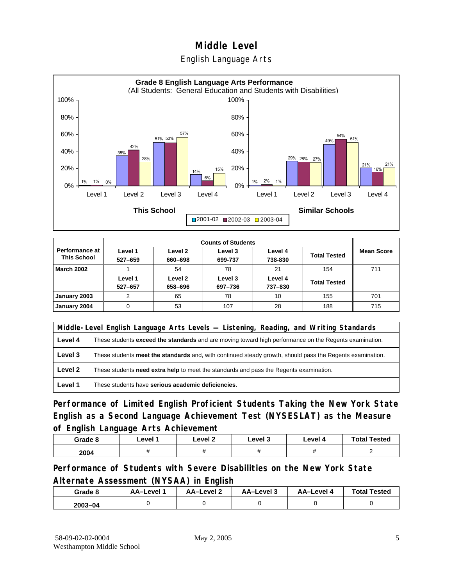English Language Arts



|                                      |                    |                    | <b>Counts of Students</b> |                    |                     |                   |
|--------------------------------------|--------------------|--------------------|---------------------------|--------------------|---------------------|-------------------|
| Performance at<br><b>This School</b> | Level 1<br>527-659 | Level 2<br>660-698 | Level 3<br>699-737        | Level 4<br>738-830 | <b>Total Tested</b> | <b>Mean Score</b> |
| <b>March 2002</b>                    |                    | 54                 | 78                        | 21                 | 154                 | 711               |
|                                      | Level 1<br>527-657 | Level 2<br>658-696 | Level 3<br>697-736        | Level 4<br>737-830 | <b>Total Tested</b> |                   |
| January 2003                         | 2                  | 65                 | 78                        | 10                 | 155                 | 701               |
| January 2004                         | 0                  | 53                 | 107                       | 28                 | 188                 | 715               |

|         | Middle-Level English Language Arts Levels — Listening, Reading, and Writing Standards                         |  |  |  |
|---------|---------------------------------------------------------------------------------------------------------------|--|--|--|
| Level 4 | These students <b>exceed the standards</b> and are moving toward high performance on the Regents examination. |  |  |  |
| Level 3 | These students meet the standards and, with continued steady growth, should pass the Regents examination.     |  |  |  |
| Level 2 | These students need extra help to meet the standards and pass the Regents examination.                        |  |  |  |
| Level 1 | These students have serious academic deficiencies.                                                            |  |  |  |

**Performance of Limited English Proficient Students Taking the New York State English as a Second Language Achievement Test (NYSESLAT) as the Measure of English Language Arts Achievement**

| Grade 8 | Level 1 | Level 2 | Level 3 | Level 4 | <b>Total Tested</b> |
|---------|---------|---------|---------|---------|---------------------|
| 2004    |         |         |         |         |                     |

**Performance of Students with Severe Disabilities on the New York State Alternate Assessment (NYSAA) in English** 

| Grade 8 | AA-Level | <b>AA-Level 2</b> | AA-Level 3 | AA-Level 4 | <b>Total Tested</b> |
|---------|----------|-------------------|------------|------------|---------------------|
| 2003-04 |          |                   |            |            |                     |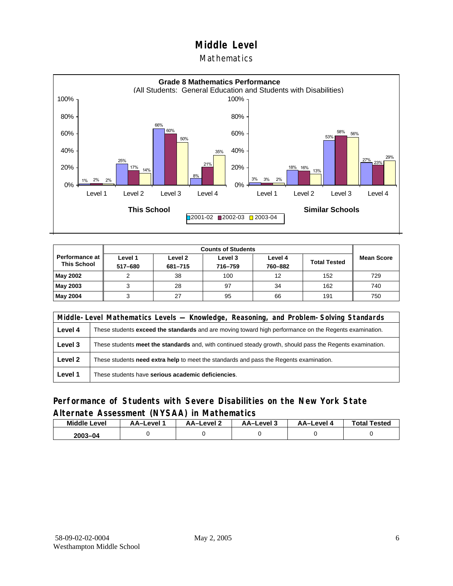#### Mathematics



|                                        |                    | <b>Counts of Students</b> |                    |                    |                     |                   |
|----------------------------------------|--------------------|---------------------------|--------------------|--------------------|---------------------|-------------------|
| Performance at I<br><b>This School</b> | Level 1<br>517-680 | Level 2<br>681-715        | Level 3<br>716-759 | Level 4<br>760-882 | <b>Total Tested</b> | <b>Mean Score</b> |
| May 2002                               |                    | 38                        | 100                | 12                 | 152                 | 729               |
| May 2003                               |                    | 28                        | 97                 | 34                 | 162                 | 740               |
| May 2004                               |                    | 27                        | 95                 | 66                 | 191                 | 750               |

|         | Middle-Level Mathematics Levels — Knowledge, Reasoning, and Problem-Solving Standards                     |  |  |
|---------|-----------------------------------------------------------------------------------------------------------|--|--|
| Level 4 | These students exceed the standards and are moving toward high performance on the Regents examination.    |  |  |
| Level 3 | These students meet the standards and, with continued steady growth, should pass the Regents examination. |  |  |
| Level 2 | These students <b>need extra help</b> to meet the standards and pass the Regents examination.             |  |  |
| Level 1 | These students have serious academic deficiencies.                                                        |  |  |

#### **Performance of Students with Severe Disabilities on the New York State Alternate Assessment (NYSAA) in Mathematics**

| <b>Middle</b><br>Level | AA-Level | <b>AA-Level 2</b> | AA-Level 3 | <b>AA-Level 4</b> | <b>Total Tested</b> |  |
|------------------------|----------|-------------------|------------|-------------------|---------------------|--|
| $2003 - 04$            |          |                   |            |                   |                     |  |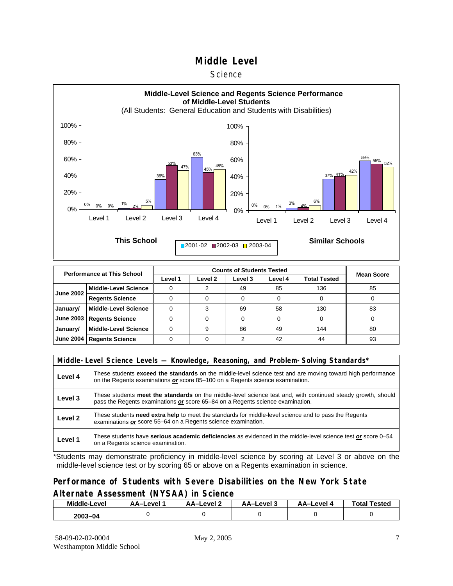#### **Science**



| <b>Performance at This School</b> |                             |         | <b>Mean Score</b> |         |         |                     |    |
|-----------------------------------|-----------------------------|---------|-------------------|---------|---------|---------------------|----|
|                                   |                             | Level 1 | Level 2           | Level 3 | Level 4 | <b>Total Tested</b> |    |
| <b>June 2002</b>                  | <b>Middle-Level Science</b> |         |                   | 49      | 85      | 136                 | 85 |
|                                   | <b>Regents Science</b>      |         |                   |         | 0       |                     |    |
| January/                          | <b>Middle-Level Science</b> |         |                   | 69      | 58      | 130                 | 83 |
| <b>June 2003</b>                  | <b>Regents Science</b>      |         |                   |         |         |                     |    |
| January/                          | <b>Middle-Level Science</b> |         | 9                 | 86      | 49      | 144                 | 80 |
| <b>June 2004</b>                  | <b>Regents Science</b>      |         |                   |         | 42      | 44                  | 93 |

|                    | Middle-Level Science Levels — Knowledge, Reasoning, and Problem-Solving Standards*                                                                                                                  |  |  |  |  |  |  |  |
|--------------------|-----------------------------------------------------------------------------------------------------------------------------------------------------------------------------------------------------|--|--|--|--|--|--|--|
| Level 4            | These students <b>exceed the standards</b> on the middle-level science test and are moving toward high performance<br>on the Regents examinations or score 85–100 on a Regents science examination. |  |  |  |  |  |  |  |
| Level 3            | These students meet the standards on the middle-level science test and, with continued steady growth, should<br>pass the Regents examinations or score 65–84 on a Regents science examination.      |  |  |  |  |  |  |  |
| Level <sub>2</sub> | These students need extra help to meet the standards for middle-level science and to pass the Regents<br>examinations or score 55-64 on a Regents science examination.                              |  |  |  |  |  |  |  |
| Level 1            | These students have serious academic deficiencies as evidenced in the middle-level science test or score 0–54<br>on a Regents science examination.                                                  |  |  |  |  |  |  |  |

\*Students may demonstrate proficiency in middle-level science by scoring at Level 3 or above on the middle-level science test or by scoring 65 or above on a Regents examination in science.

#### **Performance of Students with Severe Disabilities on the New York State Alternate Assessment (NYSAA) in Science**

| Middle-Level | AA-Level 2<br>AA-Level |  | AA-Level 3 | AA–Level 4 | Tested<br>Total |  |
|--------------|------------------------|--|------------|------------|-----------------|--|
| 2003-04      |                        |  |            |            |                 |  |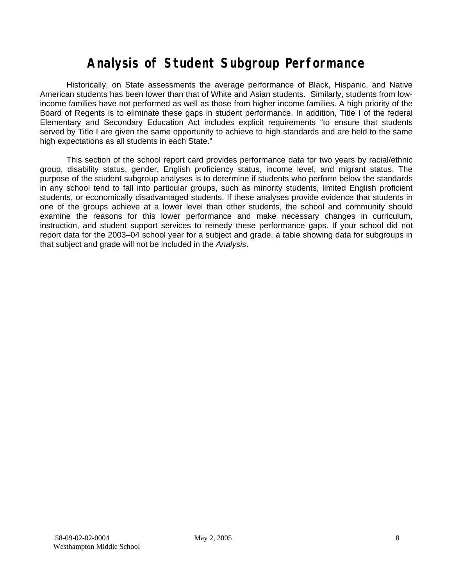## **Analysis of Student Subgroup Performance**

Historically, on State assessments the average performance of Black, Hispanic, and Native American students has been lower than that of White and Asian students. Similarly, students from lowincome families have not performed as well as those from higher income families. A high priority of the Board of Regents is to eliminate these gaps in student performance. In addition, Title I of the federal Elementary and Secondary Education Act includes explicit requirements "to ensure that students served by Title I are given the same opportunity to achieve to high standards and are held to the same high expectations as all students in each State."

This section of the school report card provides performance data for two years by racial/ethnic group, disability status, gender, English proficiency status, income level, and migrant status. The purpose of the student subgroup analyses is to determine if students who perform below the standards in any school tend to fall into particular groups, such as minority students, limited English proficient students, or economically disadvantaged students. If these analyses provide evidence that students in one of the groups achieve at a lower level than other students, the school and community should examine the reasons for this lower performance and make necessary changes in curriculum, instruction, and student support services to remedy these performance gaps. If your school did not report data for the 2003–04 school year for a subject and grade, a table showing data for subgroups in that subject and grade will not be included in the *Analysis*.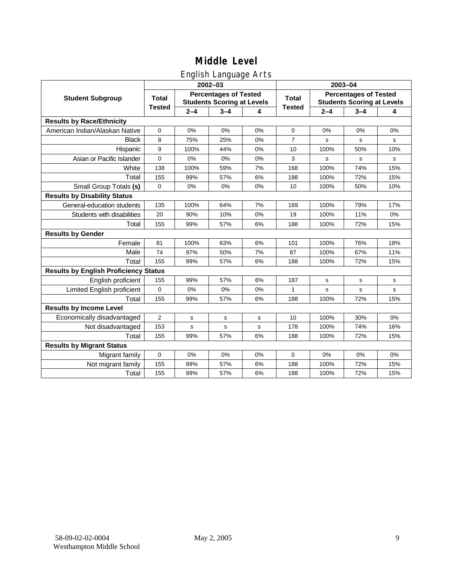### English Language Arts

|                                              |                |         | ັ<br>2002-03                                                      |       |                | 2003-04                                                           |         |       |  |  |
|----------------------------------------------|----------------|---------|-------------------------------------------------------------------|-------|----------------|-------------------------------------------------------------------|---------|-------|--|--|
| <b>Student Subgroup</b>                      | <b>Total</b>   |         | <b>Percentages of Tested</b><br><b>Students Scoring at Levels</b> |       | <b>Total</b>   | <b>Percentages of Tested</b><br><b>Students Scoring at Levels</b> |         |       |  |  |
|                                              | <b>Tested</b>  | $2 - 4$ | $3 - 4$                                                           | 4     | <b>Tested</b>  | $2 - 4$                                                           | $3 - 4$ | 4     |  |  |
| <b>Results by Race/Ethnicity</b>             |                |         |                                                                   |       |                |                                                                   |         |       |  |  |
| American Indian/Alaskan Native               | $\pmb{0}$      | 0%      | 0%                                                                | 0%    | 0              | 0%                                                                | 0%      | 0%    |  |  |
| <b>Black</b>                                 | 8              | 75%     | 25%                                                               | 0%    | $\overline{7}$ | s                                                                 | s       | s     |  |  |
| Hispanic                                     | 9              | 100%    | 44%                                                               | $0\%$ | 10             | 100%                                                              | 50%     | 10%   |  |  |
| Asian or Pacific Islander                    | $\pmb{0}$      | 0%      | 0%                                                                | 0%    | 3              | s                                                                 | s       | s     |  |  |
| White                                        | 138            | 100%    | 59%                                                               | 7%    | 168            | 100%                                                              | 74%     | 15%   |  |  |
| Total                                        | 155            | 99%     | 57%                                                               | 6%    | 188            | 100%                                                              | 72%     | 15%   |  |  |
| Small Group Totals (s)                       | $\mathbf 0$    | 0%      | 0%                                                                | 0%    | 10             | 100%                                                              | 50%     | 10%   |  |  |
| <b>Results by Disability Status</b>          |                |         |                                                                   |       |                |                                                                   |         |       |  |  |
| General-education students                   | 135            | 100%    | 64%                                                               | 7%    | 169            | 100%                                                              | 79%     | 17%   |  |  |
| Students with disabilities                   | 20             | 90%     | 10%                                                               | 0%    | 19             | 100%                                                              | 11%     | $0\%$ |  |  |
| Total                                        | 155            | 99%     | 57%                                                               | 6%    | 188            | 100%                                                              | 72%     | 15%   |  |  |
| <b>Results by Gender</b>                     |                |         |                                                                   |       |                |                                                                   |         |       |  |  |
| Female                                       | 81             | 100%    | 63%                                                               | 6%    | 101            | 100%                                                              | 76%     | 18%   |  |  |
| Male                                         | 74             | 97%     | 50%                                                               | 7%    | 87             | 100%                                                              | 67%     | 11%   |  |  |
| Total                                        | 155            | 99%     | 57%                                                               | 6%    | 188            | 100%                                                              | 72%     | 15%   |  |  |
| <b>Results by English Proficiency Status</b> |                |         |                                                                   |       |                |                                                                   |         |       |  |  |
| English proficient                           | 155            | 99%     | 57%                                                               | 6%    | 187            | $\mathbf s$                                                       | s       | s     |  |  |
| Limited English proficient                   | $\Omega$       | 0%      | 0%                                                                | 0%    | 1              | s                                                                 | s       | s     |  |  |
| Total                                        | 155            | 99%     | 57%                                                               | 6%    | 188            | 100%                                                              | 72%     | 15%   |  |  |
| <b>Results by Income Level</b>               |                |         |                                                                   |       |                |                                                                   |         |       |  |  |
| Economically disadvantaged                   | $\overline{2}$ | s       | s                                                                 | s     | 10             | 100%                                                              | 30%     | 0%    |  |  |
| Not disadvantaged                            | 153            | s       | $\mathbf s$                                                       | s     | 178            | 100%                                                              | 74%     | 16%   |  |  |
| Total                                        | 155            | 99%     | 57%                                                               | 6%    | 188            | 100%                                                              | 72%     | 15%   |  |  |
| <b>Results by Migrant Status</b>             |                |         |                                                                   |       |                |                                                                   |         |       |  |  |
| Migrant family                               | $\mathbf 0$    | 0%      | 0%                                                                | 0%    | $\mathbf 0$    | 0%                                                                | 0%      | 0%    |  |  |
| Not migrant family                           | 155            | 99%     | 57%                                                               | 6%    | 188            | 100%                                                              | 72%     | 15%   |  |  |
| Total                                        | 155            | 99%     | 57%                                                               | 6%    | 188            | 100%                                                              | 72%     | 15%   |  |  |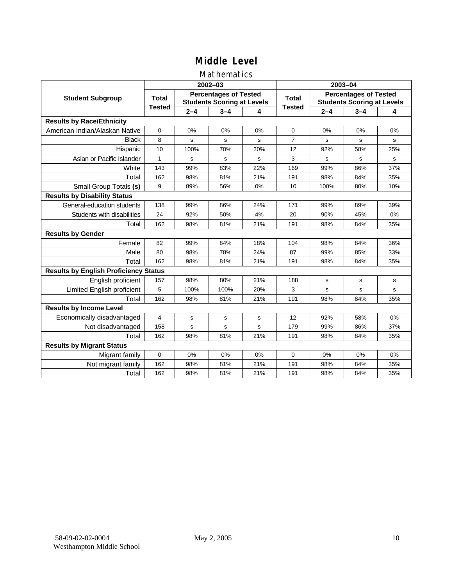#### Mathematics

|                                              |               |         | $2002 - 03$                                                       |     | 2003-04        |                                                                   |         |     |  |
|----------------------------------------------|---------------|---------|-------------------------------------------------------------------|-----|----------------|-------------------------------------------------------------------|---------|-----|--|
| <b>Student Subgroup</b>                      | <b>Total</b>  |         | <b>Percentages of Tested</b><br><b>Students Scoring at Levels</b> |     | <b>Total</b>   | <b>Percentages of Tested</b><br><b>Students Scoring at Levels</b> |         |     |  |
|                                              | <b>Tested</b> | $2 - 4$ | $3 - 4$                                                           | 4   | <b>Tested</b>  | $2 - 4$                                                           | $3 - 4$ | 4   |  |
| <b>Results by Race/Ethnicity</b>             |               |         |                                                                   |     |                |                                                                   |         |     |  |
| American Indian/Alaskan Native               | $\mathbf 0$   | 0%      | 0%                                                                | 0%  | $\mathbf 0$    | 0%                                                                | 0%      | 0%  |  |
| <b>Black</b>                                 | 8             | s       | $\mathbf s$                                                       | s   | $\overline{7}$ | s                                                                 | s       | s   |  |
| Hispanic                                     | 10            | 100%    | 70%                                                               | 20% | 12             | 92%                                                               | 58%     | 25% |  |
| Asian or Pacific Islander                    | $\mathbf{1}$  | s       | s                                                                 | s   | 3              | s                                                                 | s       | s   |  |
| White                                        | 143           | 99%     | 83%                                                               | 22% | 169            | 99%                                                               | 86%     | 37% |  |
| Total                                        | 162           | 98%     | 81%                                                               | 21% | 191            | 98%                                                               | 84%     | 35% |  |
| Small Group Totals (s)                       | 9             | 89%     | 56%                                                               | 0%  | 10             | 100%                                                              | 80%     | 10% |  |
| <b>Results by Disability Status</b>          |               |         |                                                                   |     |                |                                                                   |         |     |  |
| General-education students                   | 138           | 99%     | 86%                                                               | 24% | 171            | 99%                                                               | 89%     | 39% |  |
| Students with disabilities                   | 24            | 92%     | 50%                                                               | 4%  | 20             | 90%                                                               | 45%     | 0%  |  |
| Total                                        | 162           | 98%     | 81%                                                               | 21% | 191            | 98%                                                               | 84%     | 35% |  |
| <b>Results by Gender</b>                     |               |         |                                                                   |     |                |                                                                   |         |     |  |
| Female                                       | 82            | 99%     | 84%                                                               | 18% | 104            | 98%                                                               | 84%     | 36% |  |
| Male                                         | 80            | 98%     | 78%                                                               | 24% | 87             | 99%                                                               | 85%     | 33% |  |
| Total                                        | 162           | 98%     | 81%                                                               | 21% | 191            | 98%                                                               | 84%     | 35% |  |
| <b>Results by English Proficiency Status</b> |               |         |                                                                   |     |                |                                                                   |         |     |  |
| English proficient                           | 157           | 98%     | 80%                                                               | 21% | 188            | s                                                                 | s       | s   |  |
| Limited English proficient                   | 5             | 100%    | 100%                                                              | 20% | 3              | s                                                                 | s       | s   |  |
| Total                                        | 162           | 98%     | 81%                                                               | 21% | 191            | 98%                                                               | 84%     | 35% |  |
| <b>Results by Income Level</b>               |               |         |                                                                   |     |                |                                                                   |         |     |  |
| Economically disadvantaged                   | 4             | s       | s                                                                 | s   | 12             | 92%                                                               | 58%     | 0%  |  |
| Not disadvantaged                            | 158           | s       | s                                                                 | s   | 179            | 99%                                                               | 86%     | 37% |  |
| Total                                        | 162           | 98%     | 81%                                                               | 21% | 191            | 98%                                                               | 84%     | 35% |  |
| <b>Results by Migrant Status</b>             |               |         |                                                                   |     |                |                                                                   |         |     |  |
| Migrant family                               | 0             | 0%      | 0%                                                                | 0%  | $\mathbf 0$    | 0%                                                                | 0%      | 0%  |  |
| Not migrant family                           | 162           | 98%     | 81%                                                               | 21% | 191            | 98%                                                               | 84%     | 35% |  |
| Total                                        | 162           | 98%     | 81%                                                               | 21% | 191            | 98%                                                               | 84%     | 35% |  |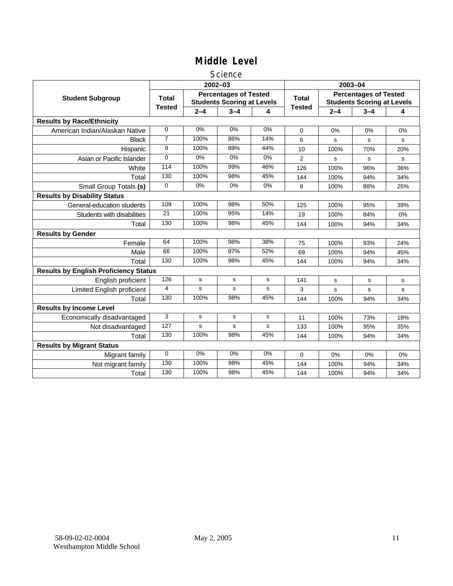#### Science

|                                              |                |                                                                   | 2002-03 |       | 2003-04       |                                                                   |         |     |
|----------------------------------------------|----------------|-------------------------------------------------------------------|---------|-------|---------------|-------------------------------------------------------------------|---------|-----|
| <b>Student Subgroup</b>                      | <b>Total</b>   | <b>Percentages of Tested</b><br><b>Students Scoring at Levels</b> |         |       | <b>Total</b>  | <b>Percentages of Tested</b><br><b>Students Scoring at Levels</b> |         |     |
|                                              | <b>Tested</b>  | $2 - 4$                                                           | $3 - 4$ | 4     | <b>Tested</b> | $2 - 4$                                                           | $3 - 4$ | 4   |
| <b>Results by Race/Ethnicity</b>             |                |                                                                   |         |       |               |                                                                   |         |     |
| American Indian/Alaskan Native               | 0              | 0%                                                                | 0%      | 0%    | $\mathbf 0$   | 0%                                                                | 0%      | 0%  |
| <b>Black</b>                                 | $\overline{7}$ | 100%                                                              | 86%     | 14%   | 6             | s                                                                 | s       | s   |
| Hispanic                                     | 9              | 100%                                                              | 89%     | 44%   | 10            | 100%                                                              | 70%     | 20% |
| Asian or Pacific Islander                    | $\Omega$       | $0\%$                                                             | $0\%$   | $0\%$ | 2             | s                                                                 | s       | s   |
| White                                        | 114            | 100%                                                              | 99%     | 46%   | 126           | 100%                                                              | 96%     | 36% |
| Total                                        | 130            | 100%                                                              | 98%     | 45%   | 144           | 100%                                                              | 94%     | 34% |
| Small Group Totals (s)                       | 0              | 0%                                                                | 0%      | 0%    | 8             | 100%                                                              | 88%     | 25% |
| <b>Results by Disability Status</b>          |                |                                                                   |         |       |               |                                                                   |         |     |
| General-education students                   | 109            | 100%                                                              | 98%     | 50%   | 125           | 100%                                                              | 95%     | 39% |
| Students with disabilities                   | 21             | 100%                                                              | 95%     | 14%   | 19            | 100%                                                              | 84%     | 0%  |
| Total                                        | 130            | 100%                                                              | 98%     | 45%   | 144           | 100%                                                              | 94%     | 34% |
| <b>Results by Gender</b>                     |                |                                                                   |         |       |               |                                                                   |         |     |
| Female                                       | 64             | 100%                                                              | 98%     | 38%   | 75            | 100%                                                              | 93%     | 24% |
| Male                                         | 66             | 100%                                                              | 97%     | 52%   | 69            | 100%                                                              | 94%     | 45% |
| Total                                        | 130            | 100%                                                              | 98%     | 45%   | 144           | 100%                                                              | 94%     | 34% |
| <b>Results by English Proficiency Status</b> |                |                                                                   |         |       |               |                                                                   |         |     |
| English proficient                           | 126            | s                                                                 | s       | s     | 141           | $\mathbf s$                                                       | s       | s   |
| Limited English proficient                   | 4              | s                                                                 | s       | s     | 3             | s                                                                 | s       | s   |
| Total                                        | 130            | 100%                                                              | 98%     | 45%   | 144           | 100%                                                              | 94%     | 34% |
| <b>Results by Income Level</b>               |                |                                                                   |         |       |               |                                                                   |         |     |
| Economically disadvantaged                   | 3              | s                                                                 | s       | s     | 11            | 100%                                                              | 73%     | 18% |
| Not disadvantaged                            | 127            | s                                                                 | s       | s     | 133           | 100%                                                              | 95%     | 35% |
| Total                                        | 130            | 100%                                                              | 98%     | 45%   | 144           | 100%                                                              | 94%     | 34% |
| <b>Results by Migrant Status</b>             |                |                                                                   |         |       |               |                                                                   |         |     |
| Migrant family                               | 0              | 0%                                                                | 0%      | 0%    | 0             | 0%                                                                | 0%      | 0%  |
| Not migrant family                           | 130            | 100%                                                              | 98%     | 45%   | 144           | 100%                                                              | 94%     | 34% |
| Total                                        | 130            | 100%                                                              | 98%     | 45%   | 144           | 100%                                                              | 94%     | 34% |